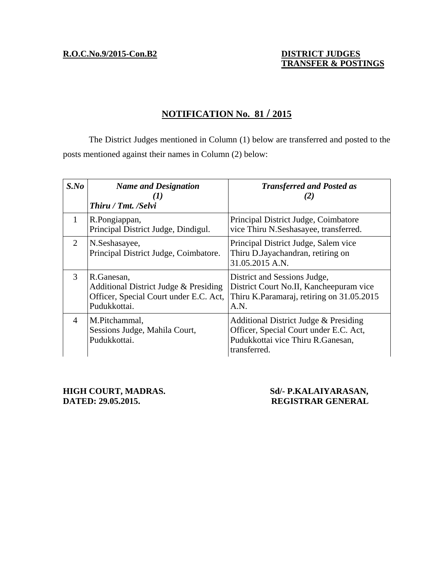**R.O.C.No.9/2015-Con.B2 DISTRICT JUDGES**

# **TRANSFER & POSTINGS**

### **NOTIFICATION No. 81 / 2015**

 The District Judges mentioned in Column (1) below are transferred and posted to the posts mentioned against their names in Column (2) below:

| $S$ .No       | <b>Name and Designation</b><br>$\mathbf{I}$<br>Thiru / Tmt. /Selvi                                            | <b>Transferred and Posted as</b><br>(Z)                                                                                              |
|---------------|---------------------------------------------------------------------------------------------------------------|--------------------------------------------------------------------------------------------------------------------------------------|
| $\mathbf{1}$  | R.Pongiappan,<br>Principal District Judge, Dindigul.                                                          | Principal District Judge, Coimbatore<br>vice Thiru N.Seshasayee, transferred.                                                        |
| 2             | N.Seshasayee,<br>Principal District Judge, Coimbatore.                                                        | Principal District Judge, Salem vice<br>Thiru D.Jayachandran, retiring on<br>31.05.2015 A.N.                                         |
| $\mathcal{F}$ | R.Ganesan,<br>Additional District Judge & Presiding<br>Officer, Special Court under E.C. Act,<br>Pudukkottai. | District and Sessions Judge,<br>District Court No.II, Kancheepuram vice<br>Thiru K.Paramaraj, retiring on 31.05.2015<br>A.N.         |
| 4             | M.Pitchammal,<br>Sessions Judge, Mahila Court,<br>Pudukkottai.                                                | Additional District Judge & Presiding<br>Officer, Special Court under E.C. Act,<br>Pudukkottai vice Thiru R.Ganesan,<br>transferred. |

**HIGH COURT, MADRAS.** Sd/- P.KALAIYARASAN, **DATED: 29.05.2015. REGISTRAR GENERAL**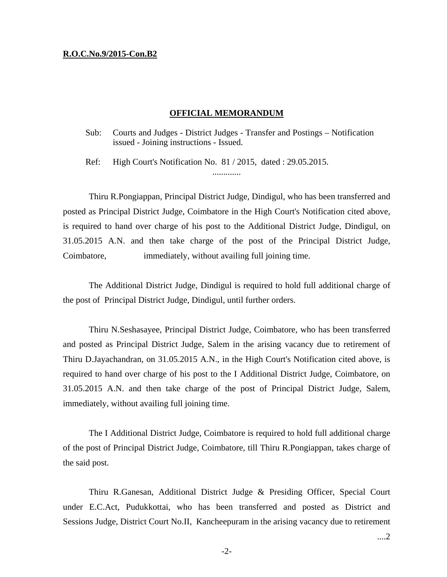### **R.O.C.No.9/2015-Con.B2**

### **OFFICIAL MEMORANDUM**

Sub: Courts and Judges - District Judges - Transfer and Postings – Notification issued - Joining instructions - Issued.

Ref: High Court's Notification No. 81 / 2015, dated : 29.05.2015. .............

 Thiru R.Pongiappan, Principal District Judge, Dindigul, who has been transferred and posted as Principal District Judge, Coimbatore in the High Court's Notification cited above, is required to hand over charge of his post to the Additional District Judge, Dindigul, on 31.05.2015 A.N. and then take charge of the post of the Principal District Judge, Coimbatore, immediately, without availing full joining time.

 The Additional District Judge, Dindigul is required to hold full additional charge of the post of Principal District Judge, Dindigul, until further orders.

 Thiru N.Seshasayee, Principal District Judge, Coimbatore, who has been transferred and posted as Principal District Judge, Salem in the arising vacancy due to retirement of Thiru D.Jayachandran, on 31.05.2015 A.N., in the High Court's Notification cited above, is required to hand over charge of his post to the I Additional District Judge, Coimbatore, on 31.05.2015 A.N. and then take charge of the post of Principal District Judge, Salem, immediately, without availing full joining time.

 The I Additional District Judge, Coimbatore is required to hold full additional charge of the post of Principal District Judge, Coimbatore, till Thiru R.Pongiappan, takes charge of the said post.

 Thiru R.Ganesan, Additional District Judge & Presiding Officer, Special Court under E.C.Act, Pudukkottai, who has been transferred and posted as District and Sessions Judge, District Court No.II, Kancheepuram in the arising vacancy due to retirement

....2